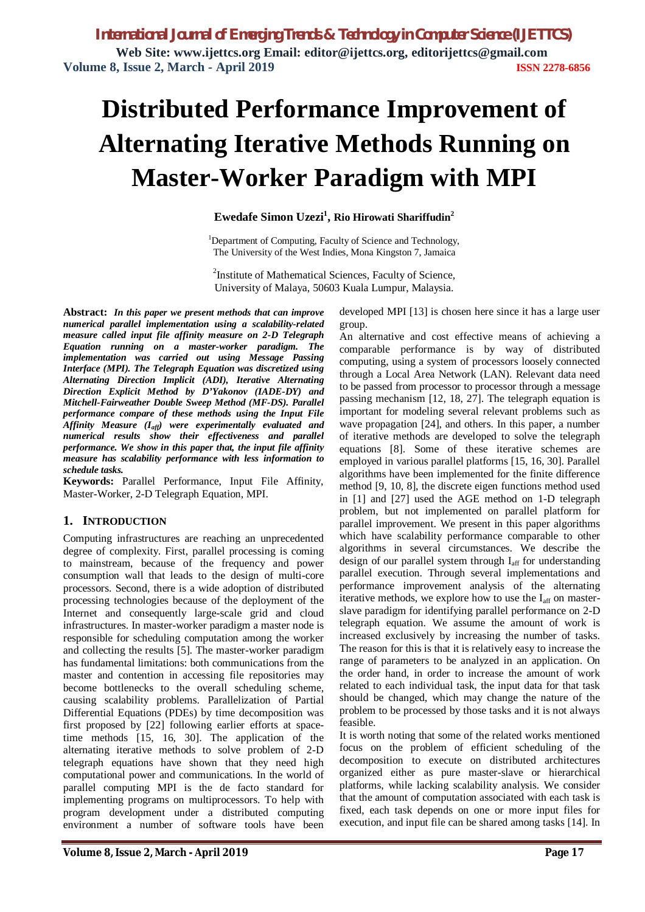# **Distributed Performance Improvement of Alternating Iterative Methods Running on Master-Worker Paradigm with MPI**

## **Ewedafe Simon Uzezi<sup>1</sup> , Rio Hirowati Shariffudin<sup>2</sup>**

<sup>1</sup>Department of Computing, Faculty of Science and Technology, The University of the West Indies, Mona Kingston 7, Jamaica

<sup>2</sup>Institute of Mathematical Sciences, Faculty of Science, University of Malaya, 50603 Kuala Lumpur, Malaysia.

**Abstract:** *In this paper we present methods that can improve numerical parallel implementation using a scalability-related measure called input file affinity measure on 2-D Telegraph Equation running on a master-worker paradigm. The implementation was carried out using Message Passing Interface (MPI). The Telegraph Equation was discretized using Alternating Direction Implicit (ADI), Iterative Alternating Direction Explicit Method by D'Yakonov (IADE-DY) and Mitchell-Fairweather Double Sweep Method (MF-DS). Parallel performance compare of these methods using the Input File Affinity Measure (Iaff) were experimentally evaluated and numerical results show their effectiveness and parallel performance. We show in this paper that, the input file affinity measure has scalability performance with less information to schedule tasks.*

**Keywords:** Parallel Performance, Input File Affinity, Master-Worker, 2-D Telegraph Equation, MPI.

## **1. INTRODUCTION**

Computing infrastructures are reaching an unprecedented degree of complexity. First, parallel processing is coming to mainstream, because of the frequency and power consumption wall that leads to the design of multi-core processors. Second, there is a wide adoption of distributed processing technologies because of the deployment of the Internet and consequently large-scale grid and cloud infrastructures. In master-worker paradigm a master node is responsible for scheduling computation among the worker and collecting the results [5]. The master-worker paradigm has fundamental limitations: both communications from the master and contention in accessing file repositories may become bottlenecks to the overall scheduling scheme, causing scalability problems. Parallelization of Partial Differential Equations (PDEs) by time decomposition was first proposed by [22] following earlier efforts at spacetime methods [15, 16, 30]. The application of the alternating iterative methods to solve problem of 2-D telegraph equations have shown that they need high computational power and communications. In the world of parallel computing MPI is the de facto standard for implementing programs on multiprocessors. To help with program development under a distributed computing environment a number of software tools have been

developed MPI [13] is chosen here since it has a large user group.

An alternative and cost effective means of achieving a comparable performance is by way of distributed computing, using a system of processors loosely connected through a Local Area Network (LAN). Relevant data need to be passed from processor to processor through a message passing mechanism [12, 18, 27]. The telegraph equation is important for modeling several relevant problems such as wave propagation [24], and others. In this paper, a number of iterative methods are developed to solve the telegraph equations [8]. Some of these iterative schemes are employed in various parallel platforms [15, 16, 30]. Parallel algorithms have been implemented for the finite difference method [9, 10, 8], the discrete eigen functions method used in [1] and [27] used the AGE method on 1-D telegraph problem, but not implemented on parallel platform for parallel improvement. We present in this paper algorithms which have scalability performance comparable to other algorithms in several circumstances. We describe the design of our parallel system through I<sub>aff</sub> for understanding parallel execution. Through several implementations and performance improvement analysis of the alternating iterative methods, we explore how to use the  $I_{\text{aff}}$  on masterslave paradigm for identifying parallel performance on 2-D telegraph equation. We assume the amount of work is increased exclusively by increasing the number of tasks. The reason for this is that it is relatively easy to increase the range of parameters to be analyzed in an application. On the order hand, in order to increase the amount of work related to each individual task, the input data for that task should be changed, which may change the nature of the problem to be processed by those tasks and it is not always feasible.

It is worth noting that some of the related works mentioned focus on the problem of efficient scheduling of the decomposition to execute on distributed architectures organized either as pure master-slave or hierarchical platforms, while lacking scalability analysis. We consider that the amount of computation associated with each task is fixed, each task depends on one or more input files for execution, and input file can be shared among tasks [14]. In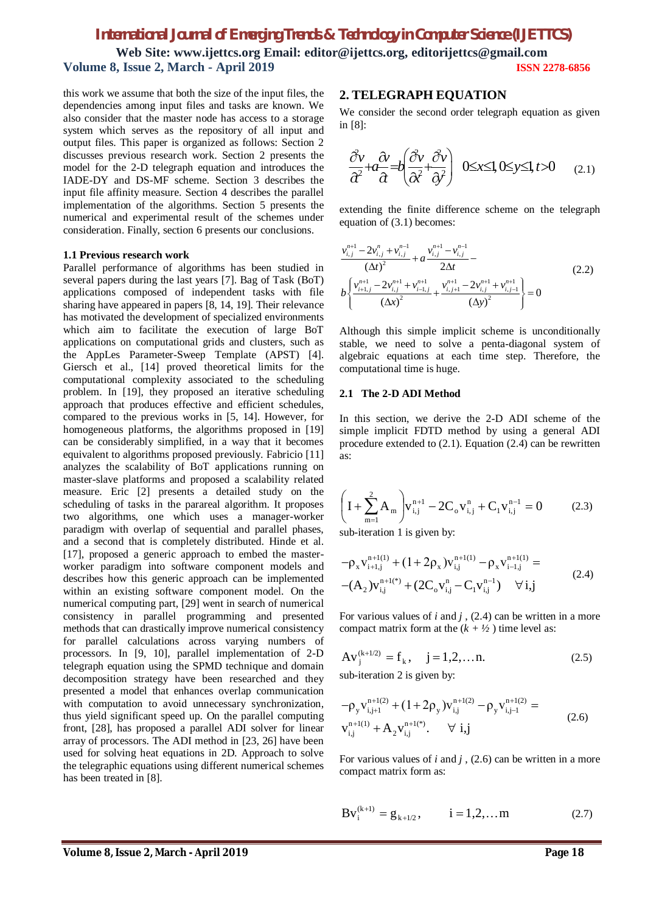this work we assume that both the size of the input files, the dependencies among input files and tasks are known. We also consider that the master node has access to a storage system which serves as the repository of all input and output files. This paper is organized as follows: Section 2 discusses previous research work. Section 2 presents the model for the 2-D telegraph equation and introduces the IADE-DY and DS-MF scheme. Section 3 describes the input file affinity measure. Section 4 describes the parallel implementation of the algorithms. Section 5 presents the numerical and experimental result of the schemes under consideration. Finally, section 6 presents our conclusions.

#### **1.1 Previous research work**

Parallel performance of algorithms has been studied in several papers during the last years [7]. Bag of Task (BoT) applications composed of independent tasks with file sharing have appeared in papers [8, 14, 19]. Their relevance has motivated the development of specialized environments which aim to facilitate the execution of large BoT applications on computational grids and clusters, such as the AppLes Parameter-Sweep Template (APST) [4]. Giersch et al., [14] proved theoretical limits for the computational complexity associated to the scheduling problem. In [19], they proposed an iterative scheduling approach that produces effective and efficient schedules, compared to the previous works in [5, 14]. However, for homogeneous platforms, the algorithms proposed in [19] can be considerably simplified, in a way that it becomes equivalent to algorithms proposed previously. Fabricio [11] analyzes the scalability of BoT applications running on master-slave platforms and proposed a scalability related measure. Eric [2] presents a detailed study on the scheduling of tasks in the parareal algorithm. It proposes two algorithms, one which uses a manager-worker paradigm with overlap of sequential and parallel phases, and a second that is completely distributed. Hinde et al. [17], proposed a generic approach to embed the masterworker paradigm into software component models and describes how this generic approach can be implemented within an existing software component model. On the numerical computing part, [29] went in search of numerical consistency in parallel programming and presented methods that can drastically improve numerical consistency for parallel calculations across varying numbers of processors. In [9, 10], parallel implementation of 2-D telegraph equation using the SPMD technique and domain decomposition strategy have been researched and they presented a model that enhances overlap communication with computation to avoid unnecessary synchronization, thus yield significant speed up. On the parallel computing front, [28], has proposed a parallel ADI solver for linear array of processors. The ADI method in [23, 26] have been used for solving heat equations in 2D. Approach to solve the telegraphic equations using different numerical schemes has been treated in [8].

## **2. TELEGRAPH EQUATION**

We consider the second order telegraph equation as given in [8]:

$$
\frac{\partial v}{\partial t} + a \frac{\partial v}{\partial t} = b \left( \frac{\partial v}{\partial t} + \frac{\partial v}{\partial t} \right) \quad 0 \le x \le 1, 0 \le y \le 1, t > 0 \tag{2.1}
$$

extending the finite difference scheme on the telegraph equation of (3.1) becomes:

$$
\frac{v_{i,j}^{n+1} - 2v_{i,j}^{n} + v_{i,j}^{n-1}}{(\Delta t)^{2}} + a \frac{v_{i,j}^{n+1} - v_{i,j}^{n-1}}{2\Delta t} - \frac{\Delta t}{2\Delta t}
$$
\n
$$
b \left\{ \frac{v_{i+1,j}^{n+1} - 2v_{i,j}^{n+1} + v_{i-1,j}^{n+1}}{(\Delta x)^{2}} + \frac{v_{i,j+1}^{n+1} - 2v_{i,j}^{n+1} + v_{i,j-1}^{n+1}}{(\Delta y)^{2}} \right\} = 0
$$
\n(2.2)

Although this simple implicit scheme is unconditionally stable, we need to solve a penta-diagonal system of algebraic equations at each time step. Therefore, the computational time is huge.

#### **2.1 The 2-D ADI Method**

In this section, we derive the 2-D ADI scheme of the simple implicit FDTD method by using a general ADI procedure extended to (2.1). Equation (2.4) can be rewritten as:

$$
\left(1 + \sum_{m=1}^{2} A_m\right) v_{i,j}^{n+1} - 2C_0 v_{i,j}^n + C_1 v_{i,j}^{n-1} = 0 \tag{2.3}
$$

sub-iteration 1 is given by:

$$
-\rho_x v_{i+1,j}^{n+1(1)} + (1+2\rho_x) v_{i,j}^{n+1(1)} - \rho_x v_{i-1,j}^{n+1(1)} =
$$
  
-(A<sub>2</sub>) $v_{i,j}^{n+1(*)}$  + (2C<sub>o</sub> $v_{i,j}^n$  - C<sub>1</sub> $v_{i,j}^{n-1}$ )  $\forall i,j$  (2.4)

For various values of *i* and *j* , (2.4) can be written in a more compact matrix form at the  $(k + \frac{1}{2})$  time level as:

$$
Av_j^{(k+1/2)} = f_k
$$
,  $j = 1, 2, ...$  n. (2.5)  
sub iteration 2 is given by:

sub-iteration 2 is given by:

$$
-\rho_{y}v_{i,j+1}^{n+1(2)} + (1+2\rho_{y})v_{i,j}^{n+1(2)} - \rho_{y}v_{i,j-1}^{n+1(2)} = v_{i,j}^{n+1(1)} + A_{2}v_{i,j}^{n+1(*)}. \quad \forall i,j
$$
\n(2.6)

For various values of *i* and *j* , (2.6) can be written in a more compact matrix form as:

$$
Bv_i^{(k+1)} = g_{k+1/2}, \qquad i = 1, 2, \dots m \tag{2.7}
$$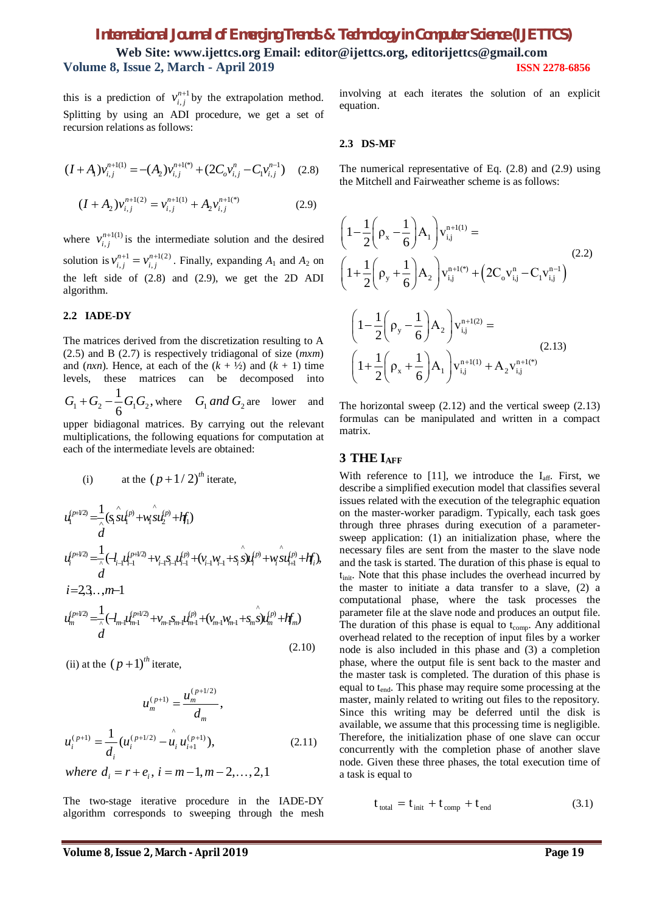this is a prediction of  $v_{i,j}^{n+1}$  $v_{i,j}^{n+1}$  by the extrapolation method. Splitting by using an ADI procedure, we get a set of recursion relations as follows:

$$
(I + A_1)v_{i,j}^{n+1(1)} = -(A_2)v_{i,j}^{n+1(*)} + (2C_0v_{i,j}^n - C_1v_{i,j}^{n-1})
$$
 (2.8)

$$
(I + A_2)v_{i,j}^{n+1(2)} = v_{i,j}^{n+1(1)} + A_2v_{i,j}^{n+1(*)}
$$
 (2.9)

where  $v_{i,j}^{n+1(1)}$  $v_{i,j}^{n+1(1)}$  is the intermediate solution and the desired solution is  $v_{i,j}^{n+1} = v_{i,j}^{n+1(2)}$  $v_{i,j}^{n+1} = v_{i,j}^{n+1(2)}$ . Finally, expanding  $A_1$  and  $A_2$  on the left side of (2.8) and (2.9), we get the 2D ADI algorithm.

## **2.2 IADE-DY**

The matrices derived from the discretization resulting to A (2.5) and B (2.7) is respectively tridiagonal of size (*mxm*) and (*nxn*). Hence, at each of the  $(k + \frac{1}{2})$  and  $(k + 1)$  time levels, these matrices can be decomposed into

 $1 + \mathbf{0}_2$   $\epsilon \mathbf{0}_1 \mathbf{0}_2$  $\frac{1}{2}G_1G_2,$  $G_1 + G_2 - \frac{1}{6} G_1 G_2$ , where  $G_1$  *and*  $G_2$  are lower and

upper bidiagonal matrices. By carrying out the relevant multiplications, the following equations for computation at each of the intermediate levels are obtained:

(i) at the 
$$
(p+1/2)^{th}
$$
 iterate,  
\n
$$
u_1^{(p+1/2)} = \frac{1}{2} (s_1 \hat{su}_1^{(p)} + w_1 \hat{su}_2^{(p)} + hf_1)
$$
\n
$$
u_1^{(p+1/2)} = \frac{1}{2} (-l_{i-1}l_{i-1}^{(p+1/2)} + v_{i-1} s_{i-1}l_{i-1}^{(p)} + (v_{i-1}w_{i-1} + s_i \hat{su}_1^{(p)} + w_i \hat{su}_{i+1}^{(p)} + hf_1),
$$
\n
$$
d
$$
\n
$$
i=2,3...m-1
$$
\n
$$
u_m^{(p+1/2)} = \frac{1}{2} (-l_{m-1}l_{m-1}^{(p+1/2)} + v_{m-1} s_{m-1}l_{m-1}^{(p)} + (v_{m-1}w_{m-1} + s_m \hat{su}_m^{(p)} + hf_m)
$$
\n
$$
d
$$
\n(2.10)

(ii) at the  $(p+1)$ <sup>th</sup> iterate,

$$
u_m^{(p+1)} = \frac{u_m^{(p+1/2)}}{d_m},
$$
  

$$
u_i^{(p+1)} = \frac{1}{d_i} (u_i^{(p+1/2)} - \hat{u}_i u_{i+1}^{(p+1)}),
$$
 (2.11)

*where*  $d_i = r + e_i$ ,  $i = m-1, m-2, ..., 2,1$ 

The two-stage iterative procedure in the IADE-DY algorithm corresponds to sweeping through the mesh involving at each iterates the solution of an explicit equation.

#### **2.3 DS-MF**

The numerical representative of Eq. (2.8) and (2.9) using the Mitchell and Fairweather scheme is as follows:

$$
\left(1 - \frac{1}{2}\left(\rho_{x} - \frac{1}{6}\right)A_{1}\right)v_{i,j}^{n+1(1)} =
$$
\n
$$
\left(1 + \frac{1}{2}\left(\rho_{y} + \frac{1}{6}\right)A_{2}\right)v_{i,j}^{n+1(*)} + \left(2C_{o}v_{i,j}^{n} - C_{1}v_{i,j}^{n-1}\right)
$$
\n
$$
\left(1 - \frac{1}{2}\left(\rho_{y} - \frac{1}{6}\right)A_{2}\right)v_{i,j}^{n+1(2)} =
$$
\n
$$
\left(1 + \frac{1}{2}\left(\rho_{x} + \frac{1}{6}\right)A_{1}\right)v_{i,j}^{n+1(1)} + A_{2}v_{i,j}^{n+1(*)}
$$
\n(2.13)

The horizontal sweep  $(2.12)$  and the vertical sweep  $(2.13)$ formulas can be manipulated and written in a compact matrix.

#### **3 THE IAFF**

With reference to [11], we introduce the  $I_{\text{aff}}$ . First, we describe a simplified execution model that classifies several issues related with the execution of the telegraphic equation on the master-worker paradigm. Typically, each task goes through three phrases during execution of a parametersweep application: (1) an initialization phase, where the necessary files are sent from the master to the slave node and the task is started. The duration of this phase is equal to t<sub>init</sub>. Note that this phase includes the overhead incurred by the master to initiate a data transfer to a slave, (2) a computational phase, where the task processes the parameter file at the slave node and produces an output file. The duration of this phase is equal to  $t_{\text{comp}}$ . Any additional overhead related to the reception of input files by a worker node is also included in this phase and (3) a completion phase, where the output file is sent back to the master and the master task is completed. The duration of this phase is equal to t<sub>end</sub>. This phase may require some processing at the master, mainly related to writing out files to the repository. Since this writing may be deferred until the disk is available, we assume that this processing time is negligible. Therefore, the initialization phase of one slave can occur concurrently with the completion phase of another slave node. Given these three phases, the total execution time of a task is equal to

$$
t_{\text{total}} = t_{\text{init}} + t_{\text{comp}} + t_{\text{end}} \tag{3.1}
$$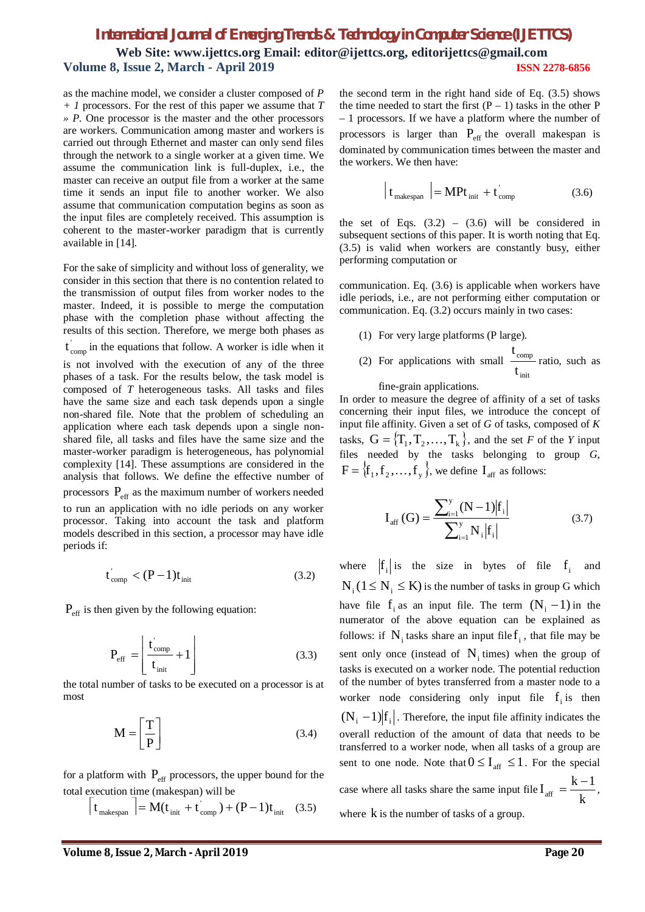as the machine model, we consider a cluster composed of *P + 1* processors. For the rest of this paper we assume that *T » P*. One processor is the master and the other processors are workers. Communication among master and workers is carried out through Ethernet and master can only send files through the network to a single worker at a given time. We assume the communication link is full-duplex, i.e., the master can receive an output file from a worker at the same time it sends an input file to another worker. We also assume that communication computation begins as soon as the input files are completely received. This assumption is coherent to the master-worker paradigm that is currently available in [14].

For the sake of simplicity and without loss of generality, we consider in this section that there is no contention related to the transmission of output files from worker nodes to the master. Indeed, it is possible to merge the computation phase with the completion phase without affecting the results of this section. Therefore, we merge both phases as

 $t_{\text{comp}}$  in the equations that follow. A worker is idle when it

is not involved with the execution of any of the three phases of a task. For the results below, the task model is composed of *T* heterogeneous tasks. All tasks and files have the same size and each task depends upon a single non-shared file. Note that the problem of scheduling an application where each task depends upon a single nonshared file, all tasks and files have the same size and the master-worker paradigm is heterogeneous, has polynomial complexity [14]. These assumptions are considered in the analysis that follows. We define the effective number of processors  $P_{\text{eff}}$  as the maximum number of workers needed to run an application with no idle periods on any worker processor. Taking into account the task and platform models described in this section, a processor may have idle

$$
t_{\rm comp} < (P - 1)t_{\rm init} \tag{3.2}
$$

 $P_{\text{eff}}$  is then given by the following equation:

periods if:

$$
P_{\rm eff} = \left[ \frac{t_{\rm comp}^{'} }{t_{\rm init}} + 1 \right]
$$
 (3.3)

the total number of tasks to be executed on a processor is at most

$$
\mathbf{M} = \begin{bmatrix} \mathbf{T} \\ \mathbf{P} \end{bmatrix} \tag{3.4}
$$

for a platform with  $P_{\text{eff}}$  processors, the upper bound for the total execution time (makespan) will be

$$
\left| \mathbf{t}_{\text{makespan}} \right| = \mathbf{M}(\mathbf{t}_{\text{init}} + \mathbf{t}_{\text{comp}}) + (\mathbf{P} - 1)\mathbf{t}_{\text{init}} \quad (3.5)
$$

the second term in the right hand side of Eq. (3.5) shows the time needed to start the first  $(P - 1)$  tasks in the other P – 1 processors. If we have a platform where the number of processors is larger than  $P_{\text{eff}}$  the overall makespan is dominated by communication times between the master and the workers. We then have:

$$
\begin{bmatrix} t_{\text{makespan}} \end{bmatrix} = \mathbf{MP} t_{\text{init}} + t_{\text{comp}}' \tag{3.6}
$$

the set of Eqs.  $(3.2) - (3.6)$  will be considered in subsequent sections of this paper. It is worth noting that Eq. (3.5) is valid when workers are constantly busy, either performing computation or

communication. Eq. (3.6) is applicable when workers have idle periods, i.e., are not performing either computation or communication. Eq. (3.2) occurs mainly in two cases:

- (1) For very large platforms (P large).
- (2) For applications with small init comp t t ratio, such as

fine-grain applications.

In order to measure the degree of affinity of a set of tasks concerning their input files, we introduce the concept of input file affinity. Given a set of *G* of tasks, composed of *K* tasks,  $G = \{T_1, T_2, ..., T_k\}$ , and the set *F* of the *Y* input files needed by the tasks belonging to group *G*,  $F = \{f_1, f_2, \ldots, f_y\}$ , we define  $I_{\text{aff}}$  as follows:

$$
I_{\text{aff}}\left(G\right) = \frac{\sum_{i=1}^{y} (N-1) \left| f_{i} \right|}{\sum_{i=1}^{y} N_{i} \left| f_{i} \right|} \tag{3.7}
$$

where  $|f_i|$  is the size in bytes of file  $f_i$  and  $N_i$  ( $1 \le N_i \le K$ ) is the number of tasks in group G which have file  $f_i$  as an input file. The term  $(N_i - 1)$  in the numerator of the above equation can be explained as follows: if  $N_i$  tasks share an input file  $f_i$ , that file may be sent only once (instead of  $N_i$  times) when the group of tasks is executed on a worker node. The potential reduction of the number of bytes transferred from a master node to a worker node considering only input file  $f_i$  is then  $(N_i - 1)$ f<sub>i</sub>. Therefore, the input file affinity indicates the overall reduction of the amount of data that needs to be transferred to a worker node, when all tasks of a group are sent to one node. Note that  $0 \leq I_{\text{aff}} \leq 1$ . For the special case where all tasks share the same input file  $I_{\text{aff}} = \frac{A}{k}$  $I_{\text{aff}} = \frac{k-1}{l_{\text{F}}}$  $=\frac{k-1}{k}$ , where  $k$  is the number of tasks of a group.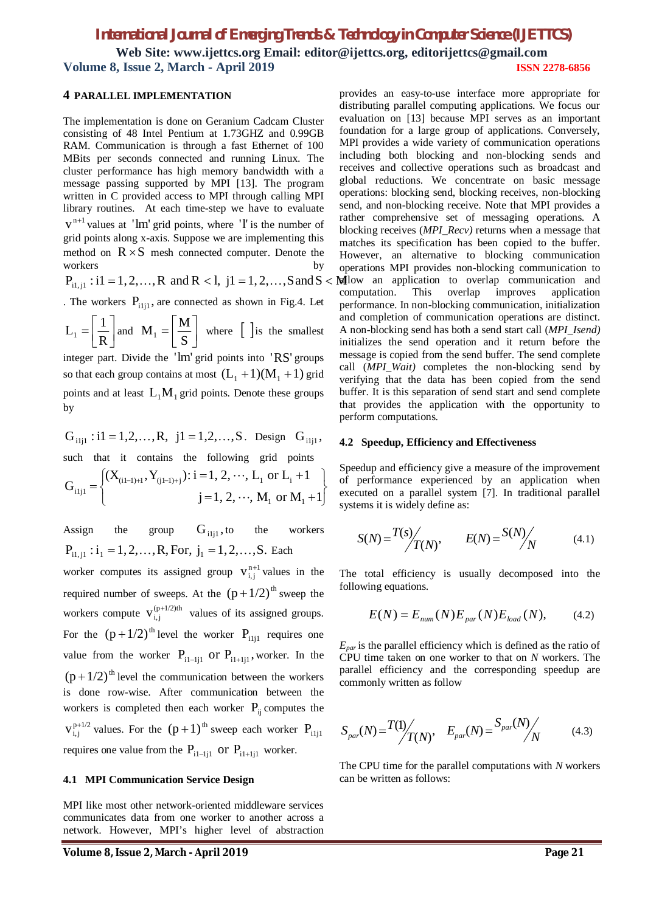J

## **4 PARALLEL IMPLEMENTATION**

The implementation is done on Geranium Cadcam Cluster consisting of 48 Intel Pentium at 1.73GHZ and 0.99GB RAM. Communication is through a fast Ethernet of 100 MBits per seconds connected and running Linux. The cluster performance has high memory bandwidth with a message passing supported by MPI [13]. The program written in C provided access to MPI through calling MPI library routines. At each time-step we have to evaluate  $v^{n+1}$  values at 'lm' grid points, where 'l' is the number of grid points along x-axis. Suppose we are implementing this method on  $R \times S$  mesh connected computer. Denote the workers by the set of the set of the set of the set of the set of the set of the set of the set of the set of the set of the set of the set of the set of the set of the set of the set of the set of the set of the set of th

$$
P_{i1,j1} : i1 = 1, 2, ..., R
$$
 and  $R < 1, j1 = 1, 2, ..., S$  and  $S < M$ 

. The workers  $P_{i,j}$ , are connected as shown in Fig.4. Let

$$
L_1 = \left[\frac{1}{R}\right]
$$
 and 
$$
M_1 = \left[\frac{M}{S}\right]
$$
 where  $\left[\right]$  is the smallest

integer part. Divide the 'lm' grid points into 'RS' groups so that each group contains at most  $(L_1 + 1)(M_1 + 1)$  grid points and at least  $L_1M_1$  grid points. Denote these groups by

$$
G_{i1j1} : i1 = 1, 2, ..., R, \quad j1 = 1, 2, ..., S. \quad \text{Design} \quad G_{i1j1},
$$
\n
$$
such \quad that \quad it \quad contains \quad the \quad following \quad grid \quad points
$$
\n
$$
G_{i1j1} = \begin{cases} (X_{(i1-1)+1}, Y_{(j1-1)+j}) : i = 1, 2, ..., L_1 \text{ or } L_i + 1\\ & \quad j = 1, 2, ..., M_1 \text{ or } M_1 + 1 \end{cases}
$$

 $\overline{\mathcal{L}}$ 

Assign the group  $G_{i,j}$ , to the workers  $P_{i_1 i_1}$ :  $i_1 = 1, 2, ..., R$ , For,  $j_1 = 1, 2, ..., S$ . Each worker computes its assigned group  $v_{i,j}^{n+1}$  values in the required number of sweeps. At the  $(p + 1/2)$ <sup>th</sup> sweep the workers compute  $V_{i,j}^{(p+1/2)th}$  values of its assigned groups. For the  $(p + 1/2)$ <sup>th</sup> level the worker P<sub>ilil</sub> requires one value from the worker  $P_{i_1-i_j}$  or  $P_{i_1+i_j}$ , worker. In the

 $(p + 1/2)$ <sup>th</sup> level the communication between the workers is done row-wise. After communication between the workers is completed then each worker  $P_{ii}$  computes the  $v_{i,j}^{p+1/2}$  values. For the  $(p+1)$ <sup>th</sup> sweep each worker  $P_{i,j}$ requires one value from the  $P_{i,j-1}$  or  $P_{i,j+1}$  worker.

#### **4.1 MPI Communication Service Design**

MPI like most other network-oriented middleware services communicates data from one worker to another across a network. However, MPI's higher level of abstraction

provides an easy-to-use interface more appropriate for distributing parallel computing applications. We focus our evaluation on [13] because MPI serves as an important foundation for a large group of applications. Conversely, MPI provides a wide variety of communication operations including both blocking and non-blocking sends and receives and collective operations such as broadcast and global reductions. We concentrate on basic message operations: blocking send, blocking receives, non-blocking send, and non-blocking receive. Note that MPI provides a rather comprehensive set of messaging operations. A blocking receives (*MPI\_Recv)* returns when a message that matches its specification has been copied to the buffer. However, an alternative to blocking communication operations MPI provides non-blocking communication to Mallow an application to overlap communication and computation. This overlap improves application performance. In non-blocking communication, initialization and completion of communication operations are distinct. A non-blocking send has both a send start call (*MPI\_Isend)*  initializes the send operation and it return before the message is copied from the send buffer. The send complete call (*MPI\_Wait)* completes the non-blocking send by verifying that the data has been copied from the send buffer. It is this separation of send start and send complete that provides the application with the opportunity to perform computations.

#### **4.2 Speedup, Efficiency and Effectiveness**

Speedup and efficiency give a measure of the improvement of performance experienced by an application when executed on a parallel system [7]. In traditional parallel systems it is widely define as:

$$
S(N) = \frac{T(s)}{T(N)}, \qquad E(N) = \frac{S(N)}{N} \tag{4.1}
$$

The total efficiency is usually decomposed into the following equations.

$$
E(N) = E_{num}(N)E_{par}(N)E_{load}(N), \qquad (4.2)
$$

*Epar* is the parallel efficiency which is defined as the ratio of CPU time taken on one worker to that on *N* workers. The parallel efficiency and the corresponding speedup are commonly written as follow

$$
S_{par}(N) = \frac{T(1)}{T(N)}, \quad E_{par}(N) = \frac{S_{par}(N)}{N}
$$
 (4.3)

The CPU time for the parallel computations with *N* workers can be written as follows: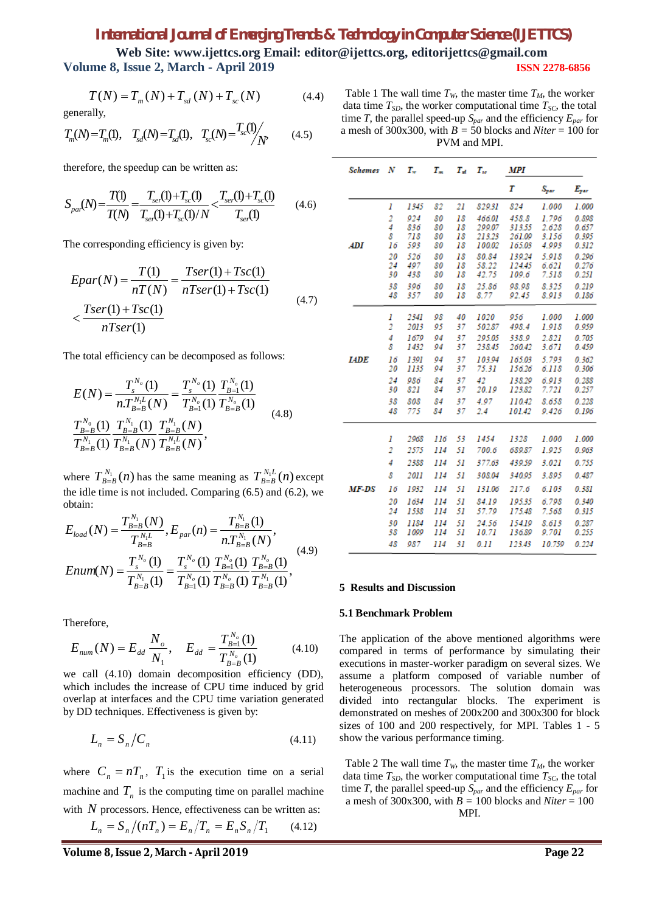# *International Journal of Emerging Trends & Technology in Computer Science (IJETTCS)*

**Web Site: www.ijettcs.org Email: editor@ijettcs.org, editorijettcs@gmail.com Volume 8, Issue 2, March - April 2019 ISSN 2278-6856**

$$
T(N) = T_m(N) + T_{sd}(N) + T_{sc}(N)
$$
 (4.4)

generally,

$$
T_m(N) = T_m(1), \quad T_{sd}(N) = T_{sd}(1), \quad T_{sc}(N) = \frac{T_{sc}(1)}{N}
$$
 (4.5)

therefore, the speedup can be written as:

$$
S_{par}(N) = \frac{T(1)}{T(N)} = \frac{T_{ser}(1) + T_{sc}(1)}{T_{ser}(1) + T_{sc}(1)/N} < \frac{T_{ser}(1) + T_{sc}(1)}{T_{ser}(1)}
$$
(4.6)

The corresponding efficiency is given by:

$$
Epar(N) = \frac{T(1)}{nT(N)} = \frac{Tser(1) + Tsc(1)}{nTser(1) + Tsc(1)}
$$
  

$$
< \frac{Tser(1) + Tsc(1)}{nTser(1)}
$$
 (4.7)

The total efficiency can be decomposed as follows:

$$
E(N) = \frac{T_s^{N_o}(1)}{n T_{B=B}^{N_1 L}(N)} = \frac{T_s^{N_o}(1)}{T_{B=1}^{N_0}(1)} \frac{T_{B=1}^{N_o}(1)}{T_{B=B}^{N_0}(1)} \n\frac{T_{B=B}^{N_0}(1)}{T_{B=B}^{N_1}(1)} \frac{T_{B=B}^{N_1}}{T_{B=B}^{N_1}} \frac{T_{B=B}^{N_1}}{T_{B=B}^{N_1 L}(N)},
$$
\n(4.8)

where  $T_{B=R}^{N_1}(n)$  $T_{B=B}^{N_1}(n)$  has the same meaning as  $T_{B=B}^{N_1L}(n)$  $B = B(n)$  except the idle time is not included. Comparing (6.5) and (6.2), we obtain:

$$
E_{load}(N) = \frac{T_{B=B}^{N_1}(N)}{T_{B=B}^{N_1L}}, E_{par}(n) = \frac{T_{B=B}^{N_1}(1)}{nT_{B=B}^{N_1}(N)},
$$
  
\n
$$
Enum(N) = \frac{T_{s}^{N_o}(1)}{T_{B=B}^{N_1}(1)} = \frac{T_{s}^{N_o}(1)}{T_{B=1}^{N_o}(1)} \frac{T_{B=B}^{N_o}(1)}{T_{B=B}^{N_o}(1)} \frac{T_{B=B}^{N_o}(1)}{T_{B=B}^{N_1}(1)},
$$
\n(4.9)

Therefore,

$$
E_{num}(N) = E_{dd} \frac{N_o}{N_1}, \quad E_{dd} = \frac{T_{B=1}^{N_o}(1)}{T_{B=B}^{N_o}(1)} \tag{4.10}
$$

we call (4.10) domain decomposition efficiency (DD), which includes the increase of CPU time induced by grid overlap at interfaces and the CPU time variation generated by DD techniques. Effectiveness is given by:

$$
L_n = S_n / C_n \tag{4.11}
$$

where  $C_n = nT_n$ ,  $T_1$  is the execution time on a serial machine and  $T<sub>n</sub>$  is the computing time on parallel machine with *N* processors. Hence, effectiveness can be written as:

$$
L_n = S_n / (nT_n) = E_n / T_n = E_n S_n / T_1 \qquad (4.12)
$$

Table 1 The wall time  $T_W$ , the master time  $T_M$ , the worker data time  $T_{SD}$ , the worker computational time  $T_{SC}$ , the total time *T*, the parallel speed-up  $S_{par}$  and the efficiency  $E_{par}$  for a mesh of 300x300, with *B =* 50 blocks and *Niter* = 100 for PVM and MPI.

| <b>Schemes</b> | N              | T.,          | $T_m$    | T.       | T.,              | MPI              |                |                |
|----------------|----------------|--------------|----------|----------|------------------|------------------|----------------|----------------|
|                |                |              |          |          |                  | Т                | $S_{par}$      | $E_{par}$      |
|                | 1              | 1345         | 82       | 21       | 829.31           | 824              | 1.000          | 1.000          |
|                | 2              | 924          | 80       | 18       | 466.01           | 458.8            | 1.796          | 0.898          |
|                | 4              | 836          | 80       | 18       | 299.07           | 313.55           | 2.628          | 0.657          |
| <b>ADI</b>     | 8<br>16        | 718<br>593   | 80<br>80 | 18<br>18 | 213.23<br>100.02 | 261.09<br>165.03 | 3.156<br>4.993 | 0.395<br>0.312 |
|                | 20             | 526          | 80       | 18       | 80.84            | 139.24           | 5.918          | 0.296          |
|                | 24             | 497          | 80       | 18       | 58.22            | 124.45           | 6.621          | 0.276          |
|                | 30             | 438          | 80       | 18       | 42.75            | 109.6            | 7.518          | 0.251          |
|                | 38             | 396          | 80       | 18       | 25.86            | 98.98            | 8.325          | 0.219          |
|                | 48             | 357          | 80       | 18       | 8.77             | 92.45            | 8.913          | 0.186          |
|                | 1              | 2341         | 98       | 40       | 1020             | 956              | 1.000          | 1.000          |
|                | $\overline{2}$ | 2013         | 95       | 37       | 502.87           | 498.4            | 1.918          | 0.959          |
|                | 4              | 1679         | 94       | 37       | 295.05           | 338.9            | 2.821          | 0.705          |
|                | 8              | 1432         | 94       | 37       | 238.45           | 260.42           | 3.671          | 0.459          |
| <b>LADE</b>    | 16<br>20       | 1391<br>1135 | 94<br>94 | 37<br>37 | 103.94<br>75.31  | 165.03<br>156.26 | 5.793<br>6.118 | 0.362<br>0.306 |
|                | 24             | 986          | 84       | 37       | 42               | 138.29           | 6.913          | 0.288          |
|                | 30             | 821          | 84       | 37       | 20.19            | 123.82           | 7.721          | 0.257          |
|                | 38             | 808          | 84       | 37       | 4.97             | 110.42           | 8.658          | 0.228          |
|                | 48             | 775          | 84       | 37       | 2.4              | 101.42           | 9.426          | 0.196          |
|                |                |              |          |          |                  |                  |                |                |
|                | 1              | 2968         | 116      | 53       | 1454             | 1328             | 1.000          | 1.000          |
|                | 2              | 2575         | 114      | 51       | 700.6            | 689.87           | 1.925          | 0.963          |
|                | 4              | 2388         | 114      | 51       | 377.63           | 439.59           | 3.021          | 0.755          |
|                | 8              | <i>2011</i>  | 114      | 51       | 308.04           | 340.95           | 3.895          | 0.487          |
| MF-DS          | 16             | 1932         | 114      | 51       | 131.06           | 217.6            | 6.103          | 0.381          |
|                | 20             | 1634         | 114      | 51       | 84.19            | 19535            | 6.798          | 0.340          |
|                | 24             | 1538         | 114      | 51       | 57.79            | 175.48           | 7.568          | 0.315          |
|                | 30             | 1184         | 114      | 51       | 24.56            | 154.19           | 8.613          | 0.287          |
|                | 38             | 1099         | 114      | 51       | 10.71            | 136.89           | 9.701          | 0.255          |
|                | 48             | 987          | 114      | 31       | 0.11             | 123.43           | 10.759         | 0.224          |

#### **5 Results and Discussion**

#### **5.1 Benchmark Problem**

The application of the above mentioned algorithms were compared in terms of performance by simulating their executions in master-worker paradigm on several sizes. We assume a platform composed of variable number of heterogeneous processors. The solution domain was divided into rectangular blocks. The experiment is demonstrated on meshes of 200x200 and 300x300 for block sizes of 100 and 200 respectively, for MPI. Tables 1 - 5 show the various performance timing.

Table 2 The wall time  $T_W$ , the master time  $T_M$ , the worker data time  $T_{SD}$ , the worker computational time  $T_{SC}$ , the total time *T*, the parallel speed-up  $S_{par}$  and the efficiency  $E_{par}$  for a mesh of 300x300, with *B =* 100 blocks and *Niter* = 100 MPI.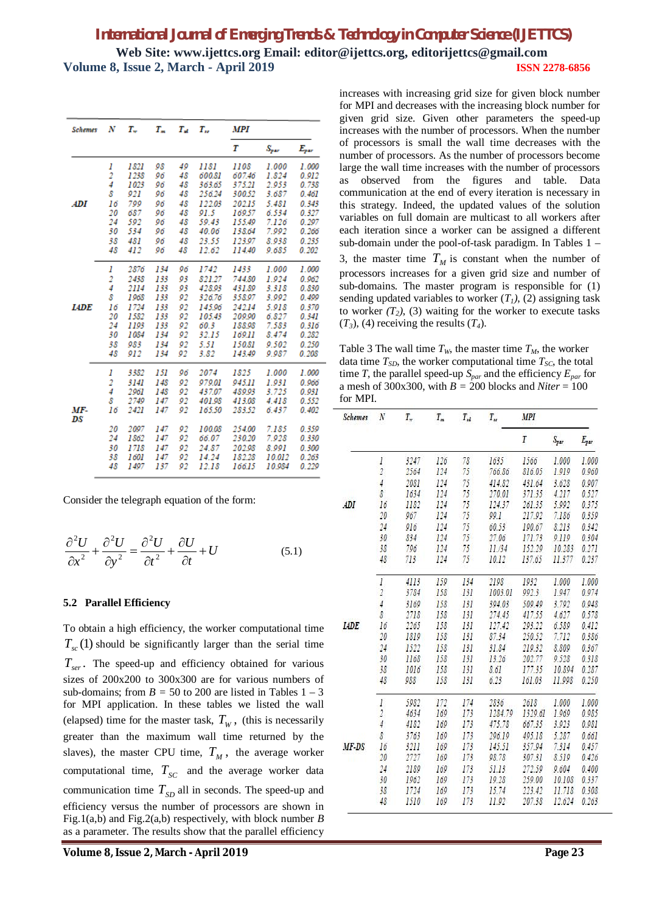| <b>Schemes</b> | N  | т.,  | $T_m$ | $T_{\rm eff}$ | $T_{\rm ro}$ | MPI    |               |           |  |
|----------------|----|------|-------|---------------|--------------|--------|---------------|-----------|--|
|                |    |      |       |               |              | Т      | $S_{\tt par}$ | $E_{par}$ |  |
|                | 1  | 1821 | 98    | 49            | 1181         | 1108   | 1.000         | 1.000     |  |
|                | 2  | 1238 | 96    | 48            | 600.81       | 607.46 | 1.824         | 0.912     |  |
|                | 4  | 1023 | 96    | 48            | 363.65       | 375.21 | 2.953         | 0.738     |  |
|                | 8  | 921  | 96    | 48            | 256.24       | 300.52 | 3.687         | 0.461     |  |
| ADI            | 16 | 799  | 96    | 48            | 12203        | 20215  | 5.481         | 0.343     |  |
|                | 20 | 687  | 96    | 48            | 91.5         | 169.57 | 6.534         | 0.327     |  |
|                | 24 | 592  | 96    | 48            | 59.43        | 155.49 | 7.126         | 0.297     |  |
|                | 30 | 534  | 96    | 48            | 40.06        | 138.64 | 7.992         | 0.266     |  |
|                | 38 | 481  | 96    | 48            | 23.55        | 123.97 | 8.938         | 0.235     |  |
|                | 48 | 412  | 96    | 48            | 12.62        | 114.40 | 9.685         | 0.202     |  |
|                | 1  | 2876 | 134   | 96            | 1742         | 1433   | 1.000         | 1.000     |  |
|                | 2  | 2438 | 133   | 93            | 821.27       | 744.80 | 1.924         | 0.962     |  |
|                | 4  | 2114 | 133   | 93            | 428.93       | 431.89 | 3.318         | 0.830     |  |
|                | 8  | 1968 | 133   | 92            | 326.76       | 358.97 | 3.992         | 0.499     |  |
| <b>LADE</b>    | 16 | 1724 | 133   | 92            | 145.96       | 242.14 | 5.918         | 0.370     |  |
|                | 20 | 1582 | 133   | 92            | 105.43       | 209.90 | 6.827         | 0.341     |  |
|                | 24 | 1193 | 133   | 92            | 60.3         | 188.98 | 7.583         | 0.316     |  |
|                | 30 | 1084 | 134   | 92            | 32.15        | 169.11 | 8.474         | 0.282     |  |
|                | 38 | 983  | 134   | 92            | 5.51         | 150.81 | 9.502         | 0.250     |  |
|                | 48 | 912  | 134   | 92            | 3.82         | 143.49 | 9.987         | 0.208     |  |
|                | 1  | 3382 | 151   | 96            | 2074         | 1825   | 1.000         | 1.000     |  |
|                | 2  | 3141 | 148   | 92            | 979.01       | 945.11 | 1.931         | 0.966     |  |
|                | 4  | 2961 | 148   | 92            | 437.07       | 489.93 | 3.725         | 0.931     |  |
|                | 8  | 2749 | 147   | 92            | 401.98       | 413.08 | 4.418         | 0.552     |  |
| MF-            | 16 | 2421 | 147   | 92            | 165.50       | 283.52 | 6.437         | 0.402     |  |
| DS             | 20 | 2097 | 147   | 92            | 100.08       | 254.00 | 7.185         | 0.359     |  |
|                | 24 | 1862 | 147   | 92            | 66.07        | 230.20 | 7.928         | 0.330     |  |
|                | 30 | 1718 | 147   | 92            | 24.87        | 202.98 | 8.991         | 0.300     |  |
|                | 38 | 1601 | 147   | 92            | 14.24        | 182.28 | 10.012        | 0.263     |  |
|                | 48 | 1497 | 137   | 92            | 12.18        | 166.15 | 10.984        | 0.229     |  |

Consider the telegraph equation of the form:

$$
\frac{\partial^2 U}{\partial x^2} + \frac{\partial^2 U}{\partial y^2} = \frac{\partial^2 U}{\partial t^2} + \frac{\partial U}{\partial t} + U \tag{5.1}
$$

#### **5.2 Parallel Efficiency**

To obtain a high efficiency, the worker computational time  $T_{sc}(1)$  should be significantly larger than the serial time . *Tser* The speed-up and efficiency obtained for various sizes of 200x200 to 300x300 are for various numbers of sub-domains; from  $B = 50$  to 200 are listed in Tables  $1 - 3$ for MPI application. In these tables we listed the wall (elapsed) time for the master task,  $T_w$ , (this is necessarily greater than the maximum wall time returned by the slaves), the master CPU time,  $T_M$ , the average worker computational time,  $T_{SC}$  and the average worker data communication time  $T_{SD}$  all in seconds. The speed-up and efficiency versus the number of processors are shown in Fig.1(a,b) and Fig.2(a,b) respectively, with block number *B*  as a parameter. The results show that the parallel efficiency

increases with increasing grid size for given block number for MPI and decreases with the increasing block number for given grid size. Given other parameters the speed-up increases with the number of processors. When the number of processors is small the wall time decreases with the number of processors. As the number of processors become large the wall time increases with the number of processors as observed from the figures and table. Data communication at the end of every iteration is necessary in this strategy. Indeed, the updated values of the solution variables on full domain are multicast to all workers after each iteration since a worker can be assigned a different sub-domain under the pool-of-task paradigm. In Tables 1 – 3, the master time  $T_M$  is constant when the number of processors increases for a given grid size and number of sub-domains. The master program is responsible for (1) sending updated variables to worker  $(T<sub>1</sub>)$ ,  $(2)$  assigning task to worker  $(T_2)$ , (3) waiting for the worker to execute tasks  $(T_3)$ , (4) receiving the results  $(T_4)$ .

Table 3 The wall time  $T_W$ , the master time  $T_M$ , the worker data time  $T_{SD}$ , the worker computational time  $T_{SC}$ , the total time *T*, the parallel speed-up  $S_{par}$  and the efficiency  $E_{par}$  for a mesh of 300x300, with  $B = 200$  blocks and *Niter* = 100 for MPI.

| Schemes     | $\cal N$       | $T_{\rm w}$ | $T_m$ | $T_{td}$ | $T_{\scriptscriptstyle H}$ | <b>MPI</b> |           |           |
|-------------|----------------|-------------|-------|----------|----------------------------|------------|-----------|-----------|
|             |                |             |       |          |                            | T          | $S_{par}$ | $E_{par}$ |
|             | $\cal I$       | 3247        | 126   | 78       | 1635                       | 1566       | 1.000     | 1.000     |
|             | $\overline{2}$ | 2564        | 124   | 75       | 766.86                     | \$16.05    | 1.919     | 0.960     |
|             | 4              | 2081        | 124   | 75       | 414.82                     | 431.64     | 3.628     | 0.907     |
|             | 8              | 1634        | 124   | 75       | 270.01                     | 371.35     | 4.217     | 0.527     |
| ADI         | 16             | 1182        | 124   | 75       | 124.37                     | 261.35     | 5.992     | 0.375     |
|             | 20             | 967         | 124   | 75       | 99.1                       | 217.92     | 7.186     | 0.359     |
|             | 24             | 916         | 124   | 75       | 60.53                      | 190.67     | 8.213     | 0.342     |
|             | 30             | 834         | 124   | 75       | 27.06                      | 171.73     | 9.119     | 0.304     |
|             | 38             | 796         | 124   | 75       | 11/34                      | 152.29     | 10.283    | 0.271     |
|             | 48             | 713         | 124   | 75       | 10.12                      | 137.65     | 11.377    | 0.237     |
|             | $\cal I$       | 4113        | 159   | 134      | 2198                       | 1932       | 1.000     | 1.000     |
|             | $\overline{2}$ | 3784        | 158   | 131      | 1003.01                    | 992.3      | 1.947     | 0.974     |
|             | $\frac{1}{2}$  | 3169        | 158   | 131      | 394.03                     | 509.49     | 3.792     | 0.948     |
|             | 8              | 2718        | 158   | 131      | 274.45                     | 417.55     | 4.627     | 0.578     |
| <b>IADE</b> | 16             | 2265        | 158   | 131      | 127.42                     | 293.22     | 6.589     | 0.412     |
|             | 20             | 1819        | 158   | 131      | 87.34                      | 250.52     | 7.712     | 0.386     |
|             | 24             | 1522        | 158   | 131      | 31.84                      | 219.32     | 8.809     | 0.367     |
|             | 30             | 1168        | 158   | 131      | 13.26                      | 202.77     | 9.528     | 0.318     |
|             | 38             | 1016        | 158   | 131      | 8.61                       | 177.35     | 10.894    | 0.287     |
|             | 48             | 988         | 158   | 131      | 6.23                       | 161.03     | 11.998    | 0.250     |
|             | $\cal I$       | 5982        | 172   | 174      | 2836                       | 2618       | 1.000     | 1.000     |
|             | $\overline{2}$ | 4634        | 169   | 173      | 1284.79                    | 1329.61    | 1.969     | 0.985     |
|             | 4              | 4182        | 109   | 173      | 475.78                     | 667.35     | 3.923     | 0.981     |
|             | 8              | 3763        | 169   | 173      | 296.19                     | 495.18     | 5.287     | 0.661     |
| $MF-DS$     | 16             | 3211        | 169   | 173      | 145.51                     | 357.94     | 7.314     | 0.457     |
|             | 20             | 2727        | 169   | 173      | 98.78                      | 307.31     | 8.519     | 0.426     |
|             | 24             | 2189        | 169   | 173      | 51.13                      | 272.59     | 9.604     | 0.400     |
|             | 30             | 1962        | 169   | 173      | 19.28                      | 259.00     | 10.108    | 0.337     |
|             | 38             | 1724        | 169   | 173      | 15.74                      | 223.42     | 11.718    | 0.308     |
|             | 48             | 1510        | 169   | 173      | 11.92                      | 207.38     | 12.624    | 0.263     |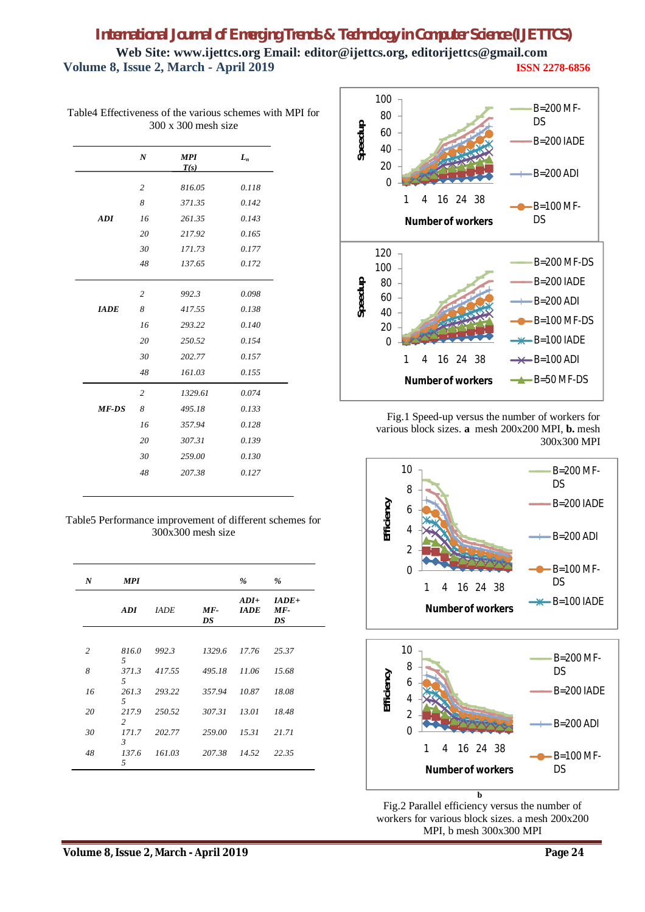|              | $\boldsymbol{N}$ | <b>MPI</b><br>T(s) | $L_n$ |
|--------------|------------------|--------------------|-------|
|              | $\overline{2}$   | 816.05             | 0.118 |
|              | 8                | 371.35             | 0.142 |
| ADI          | 16               | 261.35             | 0.143 |
|              | 20               | 217.92             | 0.165 |
|              | 30               | 171.73             | 0.177 |
|              | 48               | 137.65             | 0.172 |
|              | $\overline{2}$   | 992.3              | 0.098 |
| <b>IADE</b>  | 8                | 417.55             | 0.138 |
|              | 16               | 293.22             | 0.140 |
|              | 20               | 250.52             | 0.154 |
|              | 30               | 202.77             | 0.157 |
|              | 48               | 161.03             | 0.155 |
|              | $\overline{2}$   | 1329.61            | 0.074 |
| <b>MF-DS</b> | 8                | 495.18             | 0.133 |
|              | 16               | 357.94             | 0.128 |
|              | 20               | 307.31             | 0.139 |
|              | 30               | 259.00             | 0.130 |
|              | 48               | 207.38             | 0.127 |

Table4 Effectiveness of the various schemes with MPI for 300 x 300 mesh size

Table5 Performance improvement of different schemes for 300x300 mesh size

| N              | <b>MPI</b>              |              |             | %                     | %                      |
|----------------|-------------------------|--------------|-------------|-----------------------|------------------------|
|                | <b>ADI</b>              | <b>JADE</b>  | $MF-$<br>DS | $ADI+$<br><b>IADE</b> | $IADE+$<br>$MF-$<br>DS |
|                |                         |              |             |                       |                        |
| $\overline{c}$ | 816.0<br>5              | 992.3        | 1329.6      | 17.76                 | 25.37                  |
| 8              | 371.3<br>5              | 417.55       | 495.18      | 11.06                 | 15.68                  |
| 16             | 5                       | 261.3 293.22 | 357.94      | 10.87                 | 18.08                  |
| 20             | 217.9<br>$2^{\circ}$    | 250.52       | 307.31      | 13.01                 | 18.48                  |
| 30             | 171.7<br>$\mathfrak{Z}$ | 202.77       | 259.00      | 15.31                 | 21.71                  |
| 48             | 137.6<br>.5             | 161.03       | 207.38      | 14.52                 | 22.35                  |



Fig.1 Speed-up versus the number of workers for various block sizes. **a** mesh 200x200 MPI, **b.** mesh 300x300 MPI





**b** b Fig.2 Parallel efficiency versus the number of workers for various block sizes. a mesh 200x200 MPI, b mesh 300x300 MPI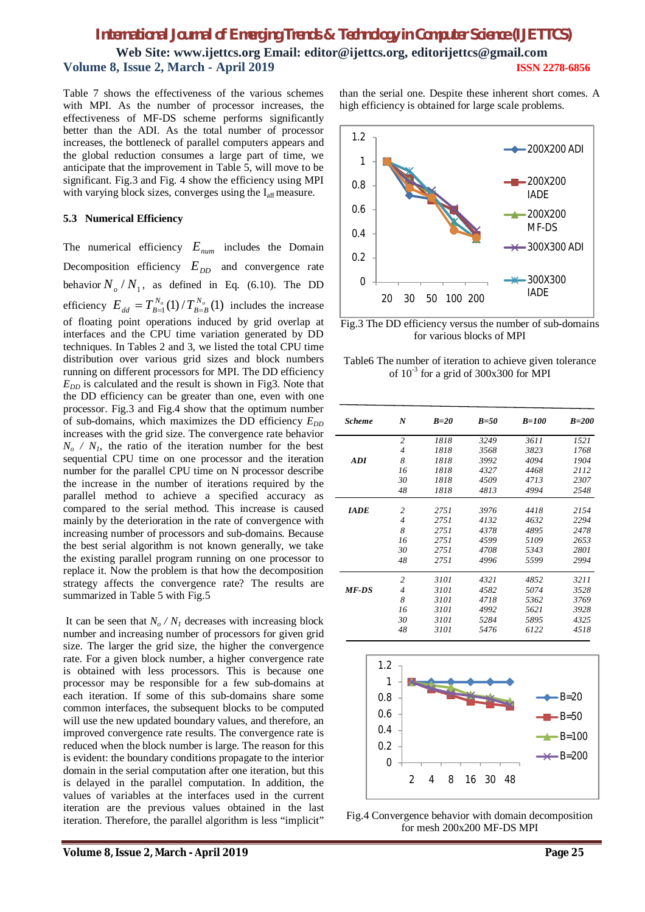Table 7 shows the effectiveness of the various schemes with MPI. As the number of processor increases, the effectiveness of MF-DS scheme performs significantly better than the ADI. As the total number of processor increases, the bottleneck of parallel computers appears and the global reduction consumes a large part of time, we anticipate that the improvement in Table 5, will move to be significant. Fig.3 and Fig. 4 show the efficiency using MPI with varying block sizes, converges using the I<sub>aff</sub> measure.

### **5.3 Numerical Efficiency**

The numerical efficiency *Enum* includes the Domain Decomposition efficiency  $E_{DD}$  and convergence rate behavior  $N_o/N_1$ , as defined in Eq. (6.10). The DD efficiency  $E_{dd} = T_{B=1}^{N_o}(1) / T_{B=B}^{N_o}(1)$  $E_{dd} = T_{B=1}^{N_o}(1) / T_{B=B}^{N_o}(1)$  includes the increase of floating point operations induced by grid overlap at interfaces and the CPU time variation generated by DD techniques. In Tables 2 and 3, we listed the total CPU time distribution over various grid sizes and block numbers running on different processors for MPI. The DD efficiency  $E_{DD}$  is calculated and the result is shown in Fig3. Note that the DD efficiency can be greater than one, even with one processor. Fig.3 and Fig.4 show that the optimum number of sub-domains, which maximizes the DD efficiency  $E_{DD}$ increases with the grid size. The convergence rate behavior  $N<sub>o</sub>$  */ N<sub>1</sub>*, the ratio of the iteration number for the best sequential CPU time on one processor and the iteration number for the parallel CPU time on N processor describe the increase in the number of iterations required by the parallel method to achieve a specified accuracy as compared to the serial method. This increase is caused mainly by the deterioration in the rate of convergence with increasing number of processors and sub-domains. Because the best serial algorithm is not known generally, we take the existing parallel program running on one processor to replace it. Now the problem is that how the decomposition strategy affects the convergence rate? The results are summarized in Table 5 with Fig.5

It can be seen that  $N_o / N_I$  decreases with increasing block number and increasing number of processors for given grid size. The larger the grid size, the higher the convergence rate. For a given block number, a higher convergence rate is obtained with less processors. This is because one processor may be responsible for a few sub-domains at each iteration. If some of this sub-domains share some common interfaces, the subsequent blocks to be computed will use the new updated boundary values, and therefore, an improved convergence rate results. The convergence rate is reduced when the block number is large. The reason for this is evident: the boundary conditions propagate to the interior domain in the serial computation after one iteration, but this is delayed in the parallel computation. In addition, the values of variables at the interfaces used in the current iteration are the previous values obtained in the last iteration. Therefore, the parallel algorithm is less "implicit"

than the serial one. Despite these inherent short comes. A high efficiency is obtained for large scale problems.



Fig.3 The DD efficiency versus the number of sub-domains for various blocks of MPI

Table6 The number of iteration to achieve given tolerance of  $10^{-3}$  for a grid of 300x300 for MPI

| <b>Scheme</b> | $\boldsymbol{N}$ | $B=20$ | $B=50$ | $B=100$ | $B=200$ |
|---------------|------------------|--------|--------|---------|---------|
|               | $\overline{2}$   | 1818   | 3249   | 3611    | 1521    |
|               | $\overline{4}$   | 1818   | 3568   | 3823    | 1768    |
| <b>ADI</b>    | 8                | 1818   | 3992   | 4094    | 1904    |
|               | 16               | 1818   | 4327   | 4468    | 2112    |
|               | 30               | 1818   | 4509   | 4713    | 2307    |
|               | 48               | 1818   | 4813   | 4994    | 2548    |
| <b>IADE</b>   | $\overline{c}$   | 2751   | 3976   | 4418    | 2154    |
|               | $\overline{4}$   | 2751   | 4132   | 4632    | 2294    |
|               | 8                | 2751   | 4378   | 4895    | 2478    |
|               | 16               | 2751   | 4599   | 5109    | 2653    |
|               | 30               | 2751   | 4708   | 5343    | 2801    |
|               | 48               | 2751   | 4996   | 5599    | 2994    |
|               | $\overline{c}$   | 3101   | 4321   | 4852    | 3211    |
| <b>MF-DS</b>  | 4                | 3101   | 4582   | 5074    | 3528    |
|               | 8                | 3101   | 4718   | 5362    | 3769    |
|               | 16               | 3101   | 4992   | 5621    | 3928    |
|               | 30               | 3101   | 5284   | 5895    | 4325    |
|               | 48               | 3101   | 5476   | 6122    | 4518    |
|               |                  |        |        |         |         |



Fig.4 Convergence behavior with domain decomposition for mesh 200x200 MF-DS MPI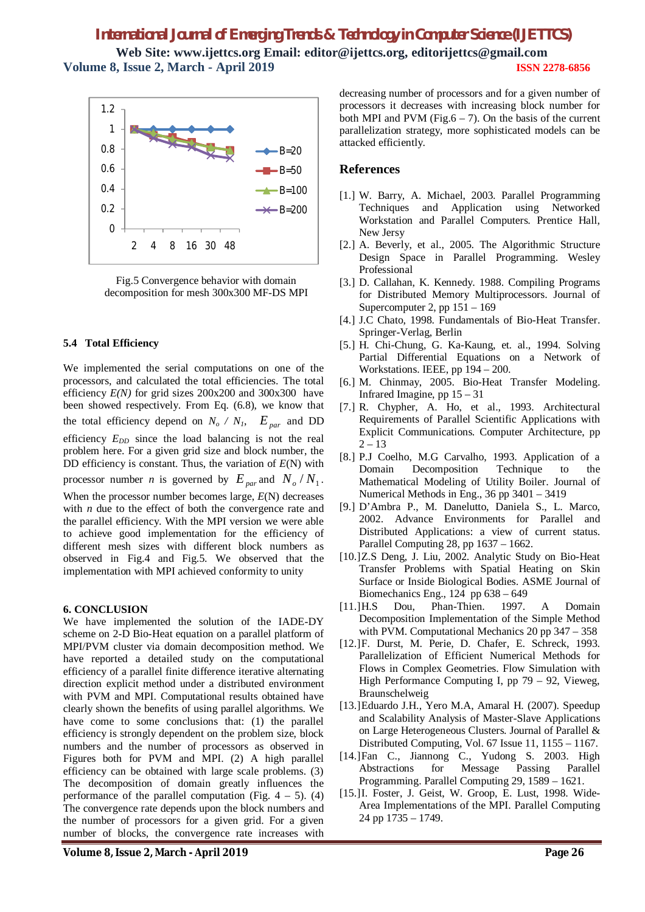# *International Journal of Emerging Trends & Technology in Computer Science (IJETTCS)*

**Web Site: www.ijettcs.org Email: editor@ijettcs.org, editorijettcs@gmail.com Volume 8, Issue 2, March - April 2019 ISSN 2278-6856**



Fig.5 Convergence behavior with domain decomposition for mesh 300x300 MF-DS MPI

#### **5.4 Total Efficiency**

We implemented the serial computations on one of the processors, and calculated the total efficiencies. The total efficiency *E(N)* for grid sizes 200x200 and 300x300 have been showed respectively. From Eq. (6.8), we know that the total efficiency depend on  $N_o / N_I$ ,  $E_{par}$  and DD efficiency  $E_{DD}$  since the load balancing is not the real problem here. For a given grid size and block number, the DD efficiency is constant. Thus, the variation of *E*(N) with processor number *n* is governed by  $E_{par}$  and  $N_o/N_1$ . When the processor number becomes large, *E*(N) decreases with *n* due to the effect of both the convergence rate and the parallel efficiency. With the MPI version we were able to achieve good implementation for the efficiency of different mesh sizes with different block numbers as observed in Fig.4 and Fig.5. We observed that the implementation with MPI achieved conformity to unity

## **6. CONCLUSION**

We have implemented the solution of the IADE-DY scheme on 2-D Bio-Heat equation on a parallel platform of MPI/PVM cluster via domain decomposition method. We have reported a detailed study on the computational efficiency of a parallel finite difference iterative alternating direction explicit method under a distributed environment with PVM and MPI. Computational results obtained have clearly shown the benefits of using parallel algorithms. We have come to some conclusions that: (1) the parallel efficiency is strongly dependent on the problem size, block numbers and the number of processors as observed in Figures both for PVM and MPI. (2) A high parallel efficiency can be obtained with large scale problems. (3) The decomposition of domain greatly influences the performance of the parallel computation (Fig.  $4 - 5$ ). (4) The convergence rate depends upon the block numbers and the number of processors for a given grid. For a given number of blocks, the convergence rate increases with

decreasing number of processors and for a given number of processors it decreases with increasing block number for both MPI and PVM (Fig.6  $-$  7). On the basis of the current parallelization strategy, more sophisticated models can be attacked efficiently.

## **References**

- [1.] W. Barry, A. Michael, 2003. Parallel Programming Techniques and Application using Networked Workstation and Parallel Computers. Prentice Hall, New Jersy
- [2.] A. Beverly, et al., 2005. The Algorithmic Structure Design Space in Parallel Programming. Wesley Professional
- [3.] D. Callahan, K. Kennedy. 1988. Compiling Programs for Distributed Memory Multiprocessors. Journal of Supercomputer 2, pp 151 – 169
- [4.] J.C Chato, 1998. Fundamentals of Bio-Heat Transfer. Springer-Verlag, Berlin
- [5.] H. Chi-Chung, G. Ka-Kaung, et. al., 1994. Solving Partial Differential Equations on a Network of Workstations. IEEE, pp 194 – 200.
- [6.] M. Chinmay, 2005. Bio-Heat Transfer Modeling. Infrared Imagine, pp  $15 - 31$
- [7.] R. Chypher, A. Ho, et al., 1993. Architectural Requirements of Parallel Scientific Applications with Explicit Communications. Computer Architecture, pp  $2 - 13$
- [8.] P.J Coelho, M.G Carvalho, 1993. Application of a Domain Decomposition Technique to the Mathematical Modeling of Utility Boiler. Journal of Numerical Methods in Eng., 36 pp 3401 – 3419
- [9.] D'Ambra P., M. Danelutto, Daniela S., L. Marco, 2002. Advance Environments for Parallel and Distributed Applications: a view of current status. Parallel Computing 28, pp 1637 – 1662.
- [10.]Z.S Deng, J. Liu, 2002. Analytic Study on Bio-Heat Transfer Problems with Spatial Heating on Skin Surface or Inside Biological Bodies. ASME Journal of Biomechanics Eng., 124 pp 638 – 649
- [11.]H.S Dou, Phan-Thien. 1997. A Domain Decomposition Implementation of the Simple Method with PVM. Computational Mechanics 20 pp 347 – 358
- [12.]F. Durst, M. Perie, D. Chafer, E. Schreck, 1993. Parallelization of Efficient Numerical Methods for Flows in Complex Geometries. Flow Simulation with High Performance Computing I, pp  $79 - 92$ , Vieweg, Braunschelweig
- [13.]Eduardo J.H., Yero M.A, Amaral H. (2007). Speedup and Scalability Analysis of Master-Slave Applications on Large Heterogeneous Clusters. Journal of Parallel & Distributed Computing, Vol. 67 Issue 11, 1155 – 1167.
- [14.]Fan C., Jiannong C., Yudong S. 2003. High Abstractions for Message Passing Parallel Programming. Parallel Computing 29, 1589 – 1621.
- [15.]I. Foster, J. Geist, W. Groop, E. Lust, 1998. Wide-Area Implementations of the MPI. Parallel Computing 24 pp 1735 – 1749.